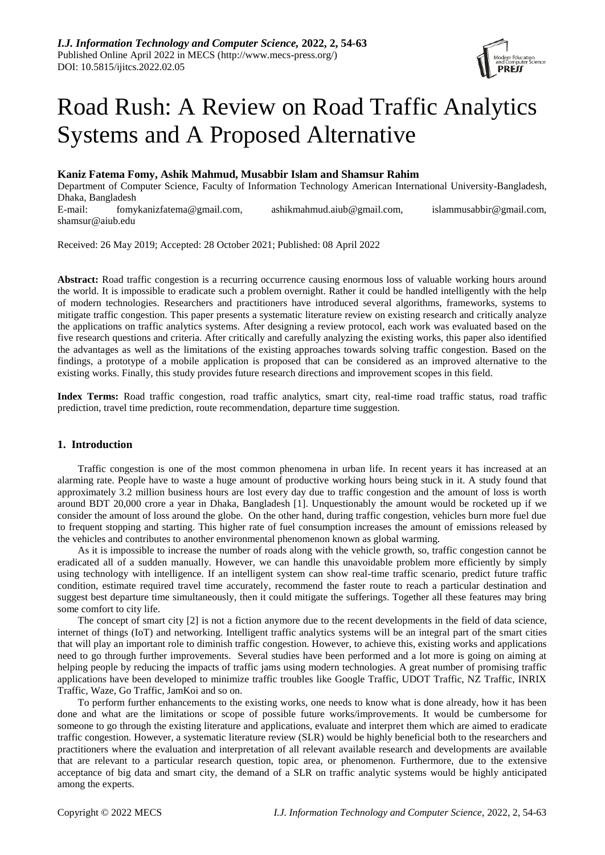

# Road Rush: A Review on Road Traffic Analytics Systems and A Proposed Alternative

# **Kaniz Fatema Fomy, Ashik Mahmud, Musabbir Islam and Shamsur Rahim**

Department of Computer Science, Faculty of Information Technology American International University-Bangladesh, Dhaka, Bangladesh

E-mail: fomykanizfatema@gmail.com, ashikmahmud.aiub@gmail.com, islammusabbir@gmail.com, shamsur@aiub.edu

Received: 26 May 2019; Accepted: 28 October 2021; Published: 08 April 2022

**Abstract:** Road traffic congestion is a recurring occurrence causing enormous loss of valuable working hours around the world. It is impossible to eradicate such a problem overnight. Rather it could be handled intelligently with the help of modern technologies. Researchers and practitioners have introduced several algorithms, frameworks, systems to mitigate traffic congestion. This paper presents a systematic literature review on existing research and critically analyze the applications on traffic analytics systems. After designing a review protocol, each work was evaluated based on the five research questions and criteria. After critically and carefully analyzing the existing works, this paper also identified the advantages as well as the limitations of the existing approaches towards solving traffic congestion. Based on the findings, a prototype of a mobile application is proposed that can be considered as an improved alternative to the existing works. Finally, this study provides future research directions and improvement scopes in this field.

**Index Terms:** Road traffic congestion, road traffic analytics, smart city, real-time road traffic status, road traffic prediction, travel time prediction, route recommendation, departure time suggestion.

# **1. Introduction**

Traffic congestion is one of the most common phenomena in urban life. In recent years it has increased at an alarming rate. People have to waste a huge amount of productive working hours being stuck in it. A study found that approximately 3.2 million business hours are lost every day due to traffic congestion and the amount of loss is worth around BDT 20,000 crore a year in Dhaka, Bangladesh [1]. Unquestionably the amount would be rocketed up if we consider the amount of loss around the globe. On the other hand, during traffic congestion, vehicles burn more fuel due to frequent stopping and starting. This higher rate of fuel consumption increases the amount of emissions released by the vehicles and contributes to another environmental phenomenon known as global warming.

As it is impossible to increase the number of roads along with the vehicle growth, so, traffic congestion cannot be eradicated all of a sudden manually. However, we can handle this unavoidable problem more efficiently by simply using technology with intelligence. If an intelligent system can show real-time traffic scenario, predict future traffic condition, estimate required travel time accurately, recommend the faster route to reach a particular destination and suggest best departure time simultaneously, then it could mitigate the sufferings. Together all these features may bring some comfort to city life.

The concept of smart city [2] is not a fiction anymore due to the recent developments in the field of data science, internet of things (IoT) and networking. Intelligent traffic analytics systems will be an integral part of the smart cities that will play an important role to diminish traffic congestion. However, to achieve this, existing works and applications need to go through further improvements. Several studies have been performed and a lot more is going on aiming at helping people by reducing the impacts of traffic jams using modern technologies. A great number of promising traffic applications have been developed to minimize traffic troubles like Google Traffic, UDOT Traffic, NZ Traffic, INRIX Traffic, Waze, Go Traffic, JamKoi and so on.

To perform further enhancements to the existing works, one needs to know what is done already, how it has been done and what are the limitations or scope of possible future works/improvements. It would be cumbersome for someone to go through the existing literature and applications, evaluate and interpret them which are aimed to eradicate traffic congestion. However, a systematic literature review (SLR) would be highly beneficial both to the researchers and practitioners where the evaluation and interpretation of all relevant available research and developments are available that are relevant to a particular research question, topic area, or phenomenon. Furthermore, due to the extensive acceptance of big data and smart city, the demand of a SLR on traffic analytic systems would be highly anticipated among the experts.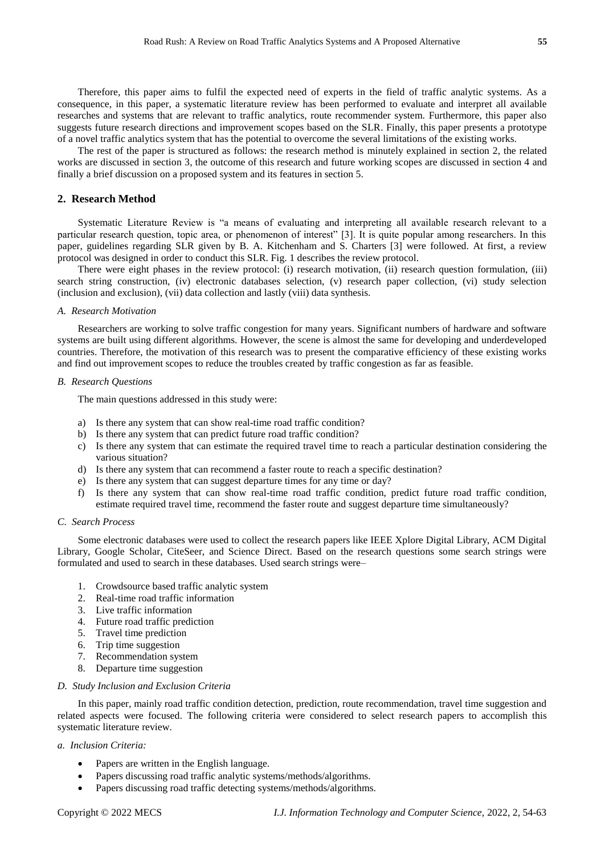Therefore, this paper aims to fulfil the expected need of experts in the field of traffic analytic systems. As a consequence, in this paper, a systematic literature review has been performed to evaluate and interpret all available researches and systems that are relevant to traffic analytics, route recommender system. Furthermore, this paper also suggests future research directions and improvement scopes based on the SLR. Finally, this paper presents a prototype of a novel traffic analytics system that has the potential to overcome the several limitations of the existing works.

The rest of the paper is structured as follows: the research method is minutely explained in section 2, the related works are discussed in section 3, the outcome of this research and future working scopes are discussed in section 4 and finally a brief discussion on a proposed system and its features in section 5.

# **2. Research Method**

Systematic Literature Review is "a means of evaluating and interpreting all available research relevant to a particular research question, topic area, or phenomenon of interest" [3]. It is quite popular among researchers. In this paper, guidelines regarding SLR given by B. A. Kitchenham and S. Charters [3] were followed. At first, a review protocol was designed in order to conduct this SLR. Fig. 1 describes the review protocol.

There were eight phases in the review protocol: (i) research motivation, (ii) research question formulation, (iii) search string construction, (iv) electronic databases selection, (v) research paper collection, (vi) study selection (inclusion and exclusion), (vii) data collection and lastly (viii) data synthesis.

# *A. Research Motivation*

Researchers are working to solve traffic congestion for many years. Significant numbers of hardware and software systems are built using different algorithms. However, the scene is almost the same for developing and underdeveloped countries. Therefore, the motivation of this research was to present the comparative efficiency of these existing works and find out improvement scopes to reduce the troubles created by traffic congestion as far as feasible.

#### *B. Research Questions*

The main questions addressed in this study were:

- a) Is there any system that can show real-time road traffic condition?
- b) Is there any system that can predict future road traffic condition?
- c) Is there any system that can estimate the required travel time to reach a particular destination considering the various situation?
- d) Is there any system that can recommend a faster route to reach a specific destination?
- e) Is there any system that can suggest departure times for any time or day?
- f) Is there any system that can show real-time road traffic condition, predict future road traffic condition, estimate required travel time, recommend the faster route and suggest departure time simultaneously?

#### *C. Search Process*

Some electronic databases were used to collect the research papers like IEEE Xplore Digital Library, ACM Digital Library, Google Scholar, CiteSeer, and Science Direct. Based on the research questions some search strings were formulated and used to search in these databases. Used search strings were–

- 1. Crowdsource based traffic analytic system
- 2. Real-time road traffic information
- 3. Live traffic information
- 4. Future road traffic prediction
- 5. Travel time prediction
- 6. Trip time suggestion
- 7. Recommendation system
- 8. Departure time suggestion

## *D. Study Inclusion and Exclusion Criteria*

In this paper, mainly road traffic condition detection, prediction, route recommendation, travel time suggestion and related aspects were focused. The following criteria were considered to select research papers to accomplish this systematic literature review.

#### *a. Inclusion Criteria:*

- Papers are written in the English language.
- Papers discussing road traffic analytic systems/methods/algorithms.
- Papers discussing road traffic detecting systems/methods/algorithms.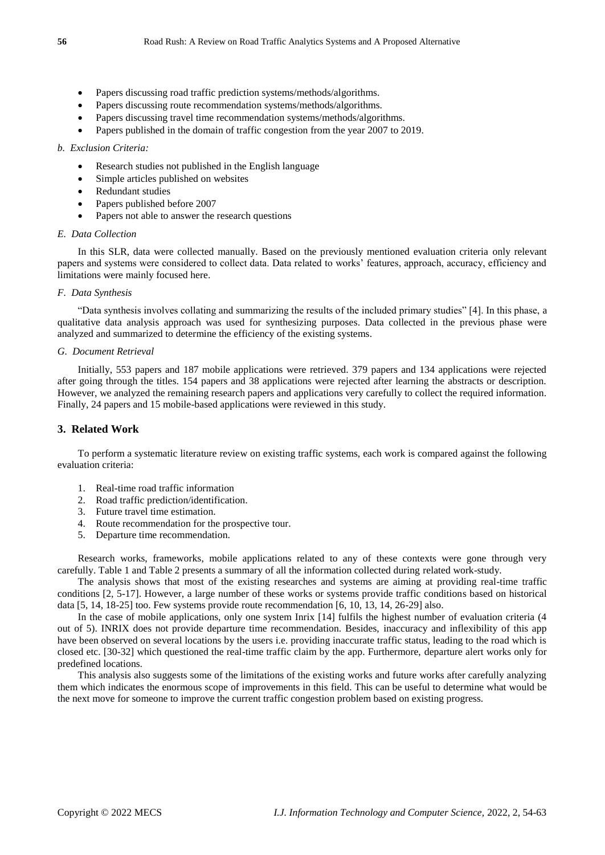- Papers discussing road traffic prediction systems/methods/algorithms.
- Papers discussing route recommendation systems/methods/algorithms.
- Papers discussing travel time recommendation systems/methods/algorithms.
- Papers published in the domain of traffic congestion from the year 2007 to 2019.

#### *b. Exclusion Criteria:*

- Research studies not published in the English language
- Simple articles published on websites
- Redundant studies
- Papers published before 2007
- Papers not able to answer the research questions

# *E. Data Collection*

In this SLR, data were collected manually. Based on the previously mentioned evaluation criteria only relevant papers and systems were considered to collect data. Data related to works' features, approach, accuracy, efficiency and limitations were mainly focused here.

## *F. Data Synthesis*

"Data synthesis involves collating and summarizing the results of the included primary studies" [4]. In this phase, a qualitative data analysis approach was used for synthesizing purposes. Data collected in the previous phase were analyzed and summarized to determine the efficiency of the existing systems.

#### *G. Document Retrieval*

Initially, 553 papers and 187 mobile applications were retrieved. 379 papers and 134 applications were rejected after going through the titles. 154 papers and 38 applications were rejected after learning the abstracts or description. However, we analyzed the remaining research papers and applications very carefully to collect the required information. Finally, 24 papers and 15 mobile-based applications were reviewed in this study.

## **3. Related Work**

To perform a systematic literature review on existing traffic systems, each work is compared against the following evaluation criteria:

- 1. Real-time road traffic information
- 2. Road traffic prediction/identification.
- 3. Future travel time estimation.
- 4. Route recommendation for the prospective tour.
- 5. Departure time recommendation.

Research works, frameworks, mobile applications related to any of these contexts were gone through very carefully. Table 1 and Table 2 presents a summary of all the information collected during related work-study.

The analysis shows that most of the existing researches and systems are aiming at providing real-time traffic conditions [2, 5-17]. However, a large number of these works or systems provide traffic conditions based on historical data [5, 14, 18-25] too. Few systems provide route recommendation [6, 10, 13, 14, 26-29] also.

In the case of mobile applications, only one system Inrix [14] fulfils the highest number of evaluation criteria (4 out of 5). INRIX does not provide departure time recommendation. Besides, inaccuracy and inflexibility of this app have been observed on several locations by the users i.e. providing inaccurate traffic status, leading to the road which is closed etc. [30-32] which questioned the real-time traffic claim by the app. Furthermore, departure alert works only for predefined locations.

This analysis also suggests some of the limitations of the existing works and future works after carefully analyzing them which indicates the enormous scope of improvements in this field. This can be useful to determine what would be the next move for someone to improve the current traffic congestion problem based on existing progress.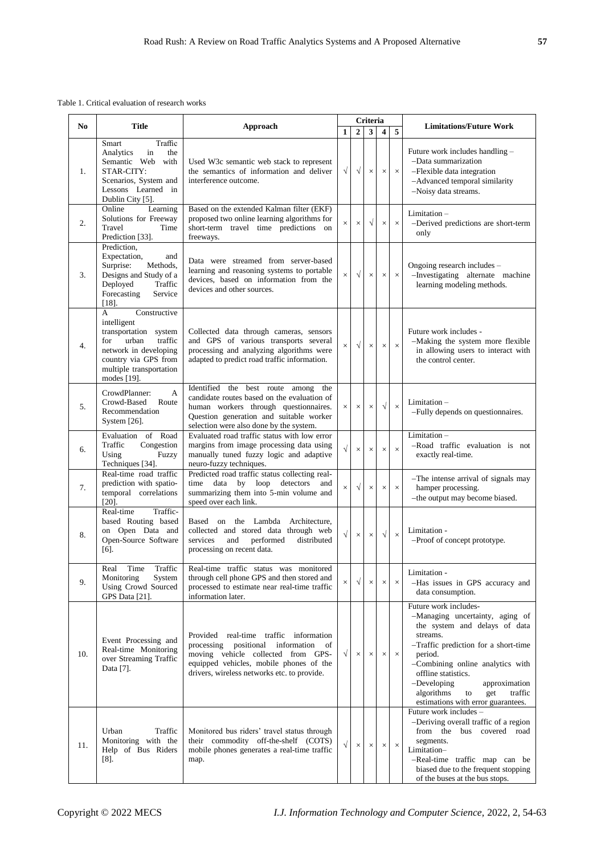Table 1. Critical evaluation of research works

| N <sub>0</sub> |                                                                                                                                                                                            |                                                                                                                                                                                                                      | Criteria  |                |              |                  |          | <b>Limitations/Future Work</b>                                                                                                                                                                                                                                                                                                    |
|----------------|--------------------------------------------------------------------------------------------------------------------------------------------------------------------------------------------|----------------------------------------------------------------------------------------------------------------------------------------------------------------------------------------------------------------------|-----------|----------------|--------------|------------------|----------|-----------------------------------------------------------------------------------------------------------------------------------------------------------------------------------------------------------------------------------------------------------------------------------------------------------------------------------|
|                | <b>Title</b>                                                                                                                                                                               | Approach                                                                                                                                                                                                             | 1         | $\overline{2}$ | $\mathbf{3}$ | $\boldsymbol{4}$ | 5        |                                                                                                                                                                                                                                                                                                                                   |
| 1.             | Traffic<br>Smart<br>Analytics<br>in<br>the<br>Semantic Web with<br>STAR-CITY:<br>Scenarios, System and<br>Lessons Learned in<br>Dublin City [5].                                           | Used W3c semantic web stack to represent<br>the semantics of information and deliver<br>interference outcome.                                                                                                        | $\sqrt{}$ | $\sqrt{ }$     | $\times$     | $\times$         | $\times$ | Future work includes handling -<br>-Data summarization<br>-Flexible data integration<br>-Advanced temporal similarity<br>-Noisy data streams.                                                                                                                                                                                     |
| 2.             | Learning<br>Online<br>Solutions for Freeway<br>Travel<br>Time<br>Prediction [33].                                                                                                          | Based on the extended Kalman filter (EKF)<br>proposed two online learning algorithms for<br>short-term travel time predictions on<br>freeways.                                                                       | $\times$  | $\times$       | $\sqrt{ }$   | $\times$         | $\times$ | Limitation –<br>-Derived predictions are short-term<br>only                                                                                                                                                                                                                                                                       |
| 3.             | Prediction,<br>Expectation,<br>and<br>Surprise:<br>Methods,<br>Designs and Study of a<br>Deployed<br>Traffic<br>Forecasting<br>Service<br>$[18]$ .                                         | Data were streamed from server-based<br>learning and reasoning systems to portable<br>devices, based on information from the<br>devices and other sources.                                                           | $\times$  | $\sqrt{}$      | $\times$     | $\times$         | $\times$ | Ongoing research includes -<br>-Investigating alternate machine<br>learning modeling methods.                                                                                                                                                                                                                                     |
| 4.             | Constructive<br>$\mathsf{A}$<br>intelligent<br>transportation system<br>urban<br>for<br>traffic<br>network in developing<br>country via GPS from<br>multiple transportation<br>modes [19]. | Collected data through cameras, sensors<br>and GPS of various transports several<br>processing and analyzing algorithms were<br>adapted to predict road traffic information.                                         | $\times$  | $\sqrt{}$      | $\times$     | $\times$         | $\times$ | Future work includes -<br>-Making the system more flexible<br>in allowing users to interact with<br>the control center.                                                                                                                                                                                                           |
| 5.             | CrowdPlanner:<br>A<br>Crowd-Based<br>Route<br>Recommendation<br>System $[26]$ .                                                                                                            | Identified the best route among the<br>candidate routes based on the evaluation of<br>human workers through questionnaires.<br>Question generation and suitable worker<br>selection were also done by the system.    | $\times$  | $\times$       | $\times$     | $\sqrt{}$        | $\times$ | Limitation –<br>-Fully depends on questionnaires.                                                                                                                                                                                                                                                                                 |
| 6.             | Evaluation of Road<br>Traffic<br>Congestion<br>Using<br>Fuzzy<br>Techniques [34].                                                                                                          | Evaluated road traffic status with low error<br>margins from image processing data using<br>manually tuned fuzzy logic and adaptive<br>neuro-fuzzy techniques.                                                       | $\sqrt{}$ | $\times$       | $\times$     | $\times$         | $\times$ | $Limitation -$<br>-Road traffic evaluation is not<br>exactly real-time.                                                                                                                                                                                                                                                           |
| 7.             | Real-time road traffic<br>prediction with spatio-<br>temporal correlations<br>$[20]$ .                                                                                                     | Predicted road traffic status collecting real-<br>time data by loop detectors<br>and<br>summarizing them into 5-min volume and<br>speed over each link.                                                              | $\times$  | $\sqrt{ }$     | $\times$     | $\times$         | $\times$ | -The intense arrival of signals may<br>hamper processing.<br>-the output may become biased.                                                                                                                                                                                                                                       |
| 8.             | Real-time<br>Traffic-<br>based Routing based<br>on Open Data and<br>Open-Source Software<br>$[6]$ .                                                                                        | Based on the Lambda<br>Architecture,<br>collected and stored data through web<br>services<br>and<br>performed<br>distributed<br>processing on recent data.                                                           | $\sqrt{}$ | $\times$       | $\times$     | $\sqrt{ }$       | $\times$ | Limitation -<br>-Proof of concept prototype.                                                                                                                                                                                                                                                                                      |
| 9.             | Real<br>Time<br>Traffic 1<br>Monitoring<br>System<br>Using Crowd Sourced<br>GPS Data [21].                                                                                                 | Real-time traffic status was monitored<br>through cell phone GPS and then stored and<br>processed to estimate near real-time traffic<br>information later.                                                           | $\times$  | $\sqrt{}$      | X            | $\times$         | $\times$ | Limitation -<br>-Has issues in GPS accuracy and<br>data consumption.                                                                                                                                                                                                                                                              |
| 10.            | Event Processing and<br>Real-time Monitoring<br>over Streaming Traffic<br>Data [7].                                                                                                        | Provided real-time traffic information<br>processing positional<br>information<br>of<br>moving vehicle collected from GPS-<br>equipped vehicles, mobile phones of the<br>drivers, wireless networks etc. to provide. | $\sqrt{}$ | $\times$       | $\times$     | $\times$         | $\times$ | Future work includes-<br>-Managing uncertainty, aging of<br>the system and delays of data<br>streams.<br>-Traffic prediction for a short-time<br>period.<br>-Combining online analytics with<br>offline statistics.<br>$-Developing$<br>approximation<br>algorithms<br>traffic<br>to<br>get<br>estimations with error guarantees. |
| 11.            | Urban<br>Traffic<br>Monitoring with the<br>Help of Bus Riders<br>$[8]$ .                                                                                                                   | Monitored bus riders' travel status through<br>their commodity off-the-shelf (COTS)<br>mobile phones generates a real-time traffic<br>map.                                                                           | $\sqrt{}$ | $\times$       | $\times$     | $\times$         | $\times$ | Future work includes -<br>-Deriving overall traffic of a region<br>from the bus covered road<br>segments.<br>Limitation-<br>-Real-time traffic map can be<br>biased due to the frequent stopping<br>of the buses at the bus stops.                                                                                                |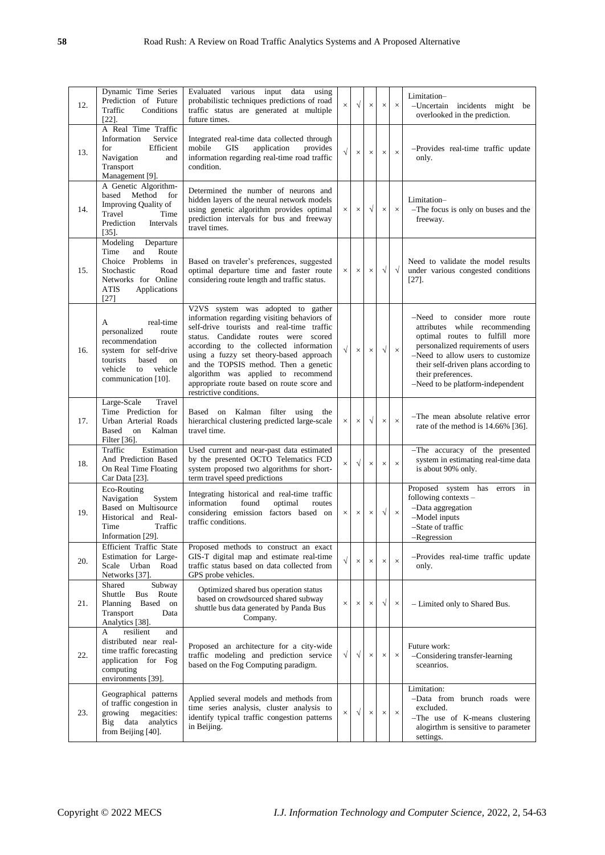| 12. | Dynamic Time Series<br>Prediction of Future<br>Traffic<br>Conditions<br>$[22]$ .                                                                                 | Evaluated various input data using<br>probabilistic techniques predictions of road<br>traffic status are generated at multiple<br>future times.                                                                                                                                                                                                                                                                    | $\times$  | $\sqrt{}$ | $\times$   | $\times$   | $\times$   | Limitation-<br>-Uncertain incidents might be<br>overlooked in the prediction.                                                                                                                                                                                                |
|-----|------------------------------------------------------------------------------------------------------------------------------------------------------------------|--------------------------------------------------------------------------------------------------------------------------------------------------------------------------------------------------------------------------------------------------------------------------------------------------------------------------------------------------------------------------------------------------------------------|-----------|-----------|------------|------------|------------|------------------------------------------------------------------------------------------------------------------------------------------------------------------------------------------------------------------------------------------------------------------------------|
| 13. | A Real Time Traffic<br>Information<br>Service<br>for<br>Efficient<br>Navigation<br>and<br>Transport<br>Management [9].                                           | Integrated real-time data collected through<br>mobile<br><b>GIS</b><br>application<br>provides<br>information regarding real-time road traffic<br>condition.                                                                                                                                                                                                                                                       | $\sqrt{}$ | $\times$  | $\times$   | $\times$   | $\times$   | -Provides real-time traffic update<br>only.                                                                                                                                                                                                                                  |
| 14. | A Genetic Algorithm-<br>based<br>Method<br>for<br>Improving Quality of<br>Travel<br>Time<br>Prediction<br>Intervals<br>$[35]$ .                                  | Determined the number of neurons and<br>hidden layers of the neural network models<br>using genetic algorithm provides optimal<br>prediction intervals for bus and freeway<br>travel times.                                                                                                                                                                                                                        | $\times$  | $\times$  | $\sqrt{}$  | $\times$   | $\times$   | Limitation-<br>-The focus is only on buses and the<br>freeway.                                                                                                                                                                                                               |
| 15. | Modeling<br>Departure<br>Time<br>and<br>Route<br>Choice Problems in<br>Stochastic<br>Road<br>Networks for Online<br><b>ATIS</b><br>Applications<br>$[27]$        | Based on traveler's preferences, suggested<br>optimal departure time and faster route<br>considering route length and traffic status.                                                                                                                                                                                                                                                                              | $\times$  | $\times$  | $\times$   | $\sqrt{ }$ | $\sqrt{ }$ | Need to validate the model results<br>under various congested conditions<br>$[27]$ .                                                                                                                                                                                         |
| 16. | real-time<br>A<br>personalized<br>route<br>recommendation<br>system for self-drive<br>tourists<br>based<br>on<br>vehicle<br>to<br>vehicle<br>communication [10]. | V2VS system was adopted to gather<br>information regarding visiting behaviors of<br>self-drive tourists and real-time traffic<br>status. Candidate routes were scored<br>according to the collected information<br>using a fuzzy set theory-based approach<br>and the TOPSIS method. Then a genetic<br>algorithm was applied to recommend<br>appropriate route based on route score and<br>restrictive conditions. | $\sqrt{}$ | $\times$  | $\times$   | $\sqrt{}$  | $\times$   | -Need to consider more route<br>attributes while recommending<br>optimal routes to fulfill more<br>personalized requirements of users<br>-Need to allow users to customize<br>their self-driven plans according to<br>their preferences.<br>-Need to be platform-independent |
| 17. | Travel<br>Large-Scale<br>Time Prediction for<br>Urban Arterial Roads<br>Based<br>on<br>Kalman<br>Filter [36].                                                    | Kalman<br>filter<br>Based on<br>using<br>the<br>hierarchical clustering predicted large-scale<br>travel time.                                                                                                                                                                                                                                                                                                      | $\times$  | $\times$  | $\sqrt{ }$ | $\times$   | $\times$   | -The mean absolute relative error<br>rate of the method is 14.66% [36].                                                                                                                                                                                                      |
| 18. | Traffic<br>Estimation<br>And Prediction Based<br>On Real Time Floating<br>Car Data [23].                                                                         | Used current and near-past data estimated<br>by the presented OCTO Telematics FCD<br>system proposed two algorithms for short-<br>term travel speed predictions                                                                                                                                                                                                                                                    | $\times$  | $\sqrt{}$ | $\times$   | $\times$   | $\times$   | -The accuracy of the presented<br>system in estimating real-time data<br>is about 90% only.                                                                                                                                                                                  |
| 19. | Eco-Routing<br>Navigation<br>System<br>Based on Multisource<br>Historical and Real-<br>Traffic<br>Time<br>Information [29].                                      | Integrating historical and real-time traffic<br>information<br>found<br>optimal<br>routes<br>considering emission factors based on<br>traffic conditions.                                                                                                                                                                                                                                                          | $\times$  | $\times$  | $\times$   | $\sqrt{ }$ | $\times$   | Proposed system has errors<br>in<br>following contexts -<br>-Data aggregation<br>-Model inputs<br>-State of traffic<br>Regression                                                                                                                                            |
| 20. | Efficient Traffic State<br>Estimation for Large-<br>Scale Urban Road<br>Networks [37].                                                                           | Proposed methods to construct an exact<br>GIS-T digital map and estimate real-time<br>traffic status based on data collected from<br>GPS probe vehicles.                                                                                                                                                                                                                                                           | $\sqrt{}$ | $\times$  | $\times$   | $\times$   | $\times$   | -Provides real-time traffic update<br>only.                                                                                                                                                                                                                                  |
| 21. | Shared<br>Subway<br>Shuttle<br><b>Bus</b><br>Route<br>Planning<br>Based<br>on<br>Transport<br>Data<br>Analytics [38].                                            | Optimized shared bus operation status<br>based on crowdsourced shared subway<br>shuttle bus data generated by Panda Bus<br>Company.                                                                                                                                                                                                                                                                                | $\times$  | $\times$  | $\times$   | $\sqrt{}$  | $\times$   | - Limited only to Shared Bus.                                                                                                                                                                                                                                                |
| 22. | resilient<br>A<br>and<br>distributed near real-<br>time traffic forecasting<br>application for Fog<br>computing<br>environments [39].                            | Proposed an architecture for a city-wide<br>traffic modeling and prediction service<br>based on the Fog Computing paradigm.                                                                                                                                                                                                                                                                                        | $\sqrt{}$ | $\sqrt{}$ | $\times$   | $\times$   | $\times$   | Future work:<br>-Considering transfer-learning<br>sceanrios.                                                                                                                                                                                                                 |
| 23. | Geographical patterns<br>of traffic congestion in<br>growing<br>megacities:<br>Big data<br>analytics<br>from Beijing [40].                                       | Applied several models and methods from<br>time series analysis, cluster analysis to<br>identify typical traffic congestion patterns<br>in Beijing.                                                                                                                                                                                                                                                                | $\times$  | $\sqrt{}$ | $\times$   | $\times$   | $\times$   | Limitation:<br>-Data from brunch roads were<br>excluded.<br>-The use of K-means clustering<br>alogirthm is sensitive to parameter<br>settings.                                                                                                                               |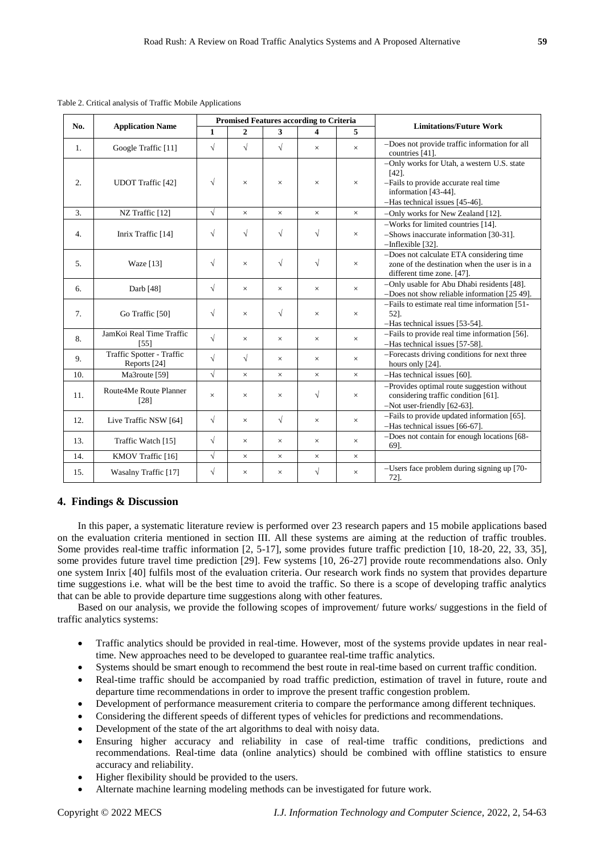| No. |                                           |              |                |              | <b>Promised Features according to Criteria</b> |          |                                                                                                                                                      |  |
|-----|-------------------------------------------|--------------|----------------|--------------|------------------------------------------------|----------|------------------------------------------------------------------------------------------------------------------------------------------------------|--|
|     | <b>Application Name</b>                   | $\mathbf{1}$ | $\overline{2}$ | $\mathbf{3}$ | 4                                              | 5        | <b>Limitations/Future Work</b>                                                                                                                       |  |
| 1.  | Google Traffic [11]                       | $\sqrt{}$    | $\sqrt{ }$     | $\sqrt{}$    | $\times$                                       | $\times$ | -Does not provide traffic information for all<br>countries [41].                                                                                     |  |
| 2.  | <b>UDOT</b> Traffic [42]                  | $\sqrt{ }$   | $\times$       | $\times$     | $\times$                                       | ×        | -Only works for Utah, a western U.S. state<br>[42]<br>-Fails to provide accurate real time<br>information [43-44].<br>-Has technical issues [45-46]. |  |
| 3.  | NZ Traffic [12]                           | $\sqrt{}$    | $\times$       | $\times$     | $\times$                                       | $\times$ | -Only works for New Zealand [12].                                                                                                                    |  |
| 4.  | Inrix Traffic [14]                        | $\sqrt{}$    | $\sqrt{ }$     | $\sqrt{}$    | $\sqrt{}$                                      | $\times$ | -Works for limited countries [14].<br>-Shows inaccurate information [30-31].<br>$-Inflexible [32]$ .                                                 |  |
| 5.  | <b>Waze</b> [13]                          | $\sqrt{ }$   | $\times$       | $\sqrt{}$    | $\sqrt{ }$                                     | $\times$ | -Does not calculate ETA considering time<br>zone of the destination when the user is in a<br>different time zone. [47].                              |  |
| 6.  | Darb [48]                                 | $\sqrt{}$    | $\times$       | $\times$     | $\times$                                       | $\times$ | -Only usable for Abu Dhabi residents [48].<br>-Does not show reliable information [25 49].                                                           |  |
| 7.  | Go Traffic [50]                           | $\sqrt{}$    | $\times$       | $\sqrt{}$    | $\times$                                       | $\times$ | -Fails to estimate real time information [51-<br>521.<br>-Has technical issues [53-54].                                                              |  |
| 8.  | JamKoi Real Time Traffic<br>[55]          | $\sqrt{}$    | $\times$       | $\times$     | $\times$                                       | $\times$ | -Fails to provide real time information [56].<br>-Has technical issues [57-58].                                                                      |  |
| 9.  | Traffic Spotter - Traffic<br>Reports [24] | $\sqrt{}$    | $\sqrt{ }$     | $\times$     | $\times$                                       | $\times$ | -Forecasts driving conditions for next three<br>hours only [24].                                                                                     |  |
| 10. | Ma3route [59]                             | $\sqrt{}$    | $\times$       | $\times$     | $\times$                                       | $\times$ | -Has technical issues [60].                                                                                                                          |  |
| 11. | Route4Me Route Planner<br>[28]            | $\times$     | $\times$       | $\times$     | $\sqrt{ }$                                     | $\times$ | -Provides optimal route suggestion without<br>considering traffic condition [61].<br>-Not user-friendly [62-63].                                     |  |
| 12. | Live Traffic NSW [64]                     | $\sqrt{}$    | $\times$       | $\sqrt{ }$   | $\times$                                       | $\times$ | -Fails to provide updated information [65].<br>-Has technical issues [66-67].                                                                        |  |
| 13. | Traffic Watch [15]                        | $\sqrt{}$    | $\times$       | $\times$     | $\times$                                       | $\times$ | -Does not contain for enough locations [68-<br>69].                                                                                                  |  |
| 14. | KMOV Traffic [16]                         | $\sqrt{}$    | $\times$       | $\times$     | $\times$                                       | $\times$ |                                                                                                                                                      |  |
| 15. | <b>Wasalny Traffic</b> [17]               | $\sqrt{}$    | $\times$       | $\times$     | $\sqrt{}$                                      | $\times$ | -Users face problem during signing up [70-<br>72].                                                                                                   |  |

Table 2. Critical analysis of Traffic Mobile Applications

# **4. Findings & Discussion**

In this paper, a systematic literature review is performed over 23 research papers and 15 mobile applications based on the evaluation criteria mentioned in section III. All these systems are aiming at the reduction of traffic troubles. Some provides real-time traffic information [2, 5-17], some provides future traffic prediction [10, 18-20, 22, 33, 35], some provides future travel time prediction [29]. Few systems [10, 26-27] provide route recommendations also. Only one system Inrix [40] fulfils most of the evaluation criteria. Our research work finds no system that provides departure time suggestions i.e. what will be the best time to avoid the traffic. So there is a scope of developing traffic analytics that can be able to provide departure time suggestions along with other features.

Based on our analysis, we provide the following scopes of improvement/ future works/ suggestions in the field of traffic analytics systems:

- Traffic analytics should be provided in real-time. However, most of the systems provide updates in near realtime. New approaches need to be developed to guarantee real-time traffic analytics.
- Systems should be smart enough to recommend the best route in real-time based on current traffic condition.
- Real-time traffic should be accompanied by road traffic prediction, estimation of travel in future, route and departure time recommendations in order to improve the present traffic congestion problem.
- Development of performance measurement criteria to compare the performance among different techniques.
- Considering the different speeds of different types of vehicles for predictions and recommendations.
- Development of the state of the art algorithms to deal with noisy data.
- Ensuring higher accuracy and reliability in case of real-time traffic conditions, predictions and recommendations. Real-time data (online analytics) should be combined with offline statistics to ensure accuracy and reliability.
- Higher flexibility should be provided to the users.
- Alternate machine learning modeling methods can be investigated for future work.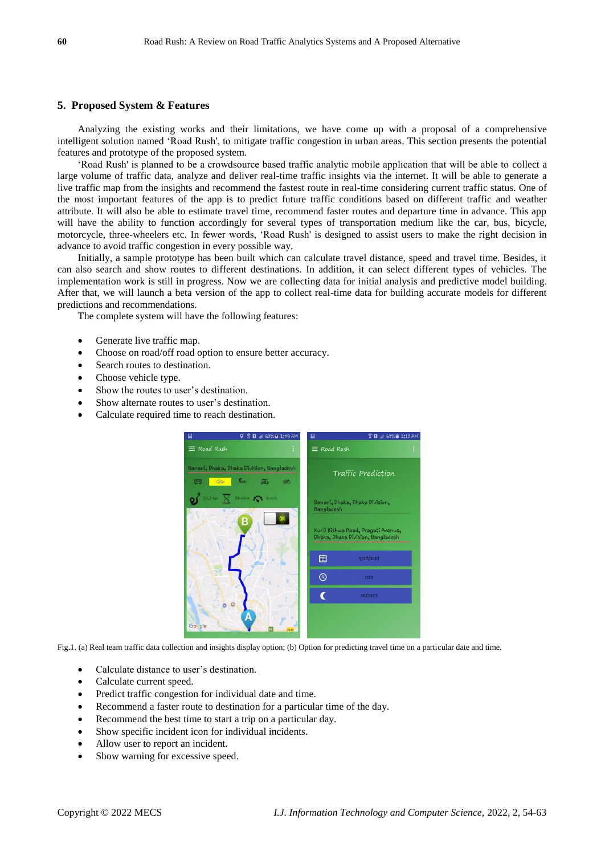# **5. Proposed System & Features**

Analyzing the existing works and their limitations, we have come up with a proposal of a comprehensive intelligent solution named 'Road Rush', to mitigate traffic congestion in urban areas. This section presents the potential features and prototype of the proposed system.

'Road Rush' is planned to be a crowdsource based traffic analytic mobile application that will be able to collect a large volume of traffic data, analyze and deliver real-time traffic insights via the internet. It will be able to generate a live traffic map from the insights and recommend the fastest route in real-time considering current traffic status. One of the most important features of the app is to predict future traffic conditions based on different traffic and weather attribute. It will also be able to estimate travel time, recommend faster routes and departure time in advance. This app will have the ability to function accordingly for several types of transportation medium like the car, bus, bicycle, motorcycle, three-wheelers etc. In fewer words, 'Road Rush' is designed to assist users to make the right decision in advance to avoid traffic congestion in every possible way.

Initially, a sample prototype has been built which can calculate travel distance, speed and travel time. Besides, it can also search and show routes to different destinations. In addition, it can select different types of vehicles. The implementation work is still in progress. Now we are collecting data for initial analysis and predictive model building. After that, we will launch a beta version of the app to collect real-time data for building accurate models for different predictions and recommendations.

The complete system will have the following features:

- Generate live traffic map.
- Choose on road/off road option to ensure better accuracy.
- Search routes to destination.
- Choose vehicle type.
- Show the routes to user's destination.
- Show alternate routes to user's destination.
- Calculate required time to reach destination.



Fig.1. (a) Real team traffic data collection and insights display option; (b) Option for predicting travel time on a particular date and time.

- Calculate distance to user's destination.
- Calculate current speed.
- Predict traffic congestion for individual date and time.
- Recommend a faster route to destination for a particular time of the day.
- Recommend the best time to start a trip on a particular day.
- Show specific incident icon for individual incidents.
- Allow user to report an incident.
- Show warning for excessive speed.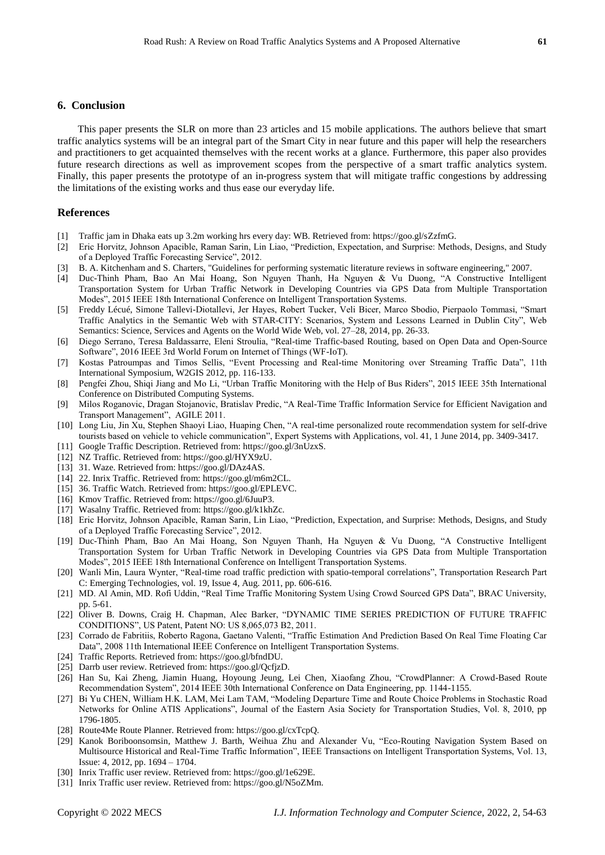# **6. Conclusion**

This paper presents the SLR on more than 23 articles and 15 mobile applications. The authors believe that smart traffic analytics systems will be an integral part of the Smart City in near future and this paper will help the researchers and practitioners to get acquainted themselves with the recent works at a glance. Furthermore, this paper also provides future research directions as well as improvement scopes from the perspective of a smart traffic analytics system. Finally, this paper presents the prototype of an in-progress system that will mitigate traffic congestions by addressing the limitations of the existing works and thus ease our everyday life.

## **References**

- [1] Traffic jam in Dhaka eats up 3.2m working hrs every day: WB. Retrieved from: https://goo.gl/sZzfmG.
- [2] Eric Horvitz, Johnson Apacible, Raman Sarin, Lin Liao, "Prediction, Expectation, and Surprise: Methods, Designs, and Study of a Deployed Traffic Forecasting Service", 2012.
- [3] B. A. Kitchenham and S. Charters, "Guidelines for performing systematic literature reviews in software engineering," 2007.
- [4] Duc-Thinh Pham, Bao An Mai Hoang, Son Nguyen Thanh, Ha Nguyen & Vu Duong, "A Constructive Intelligent Transportation System for Urban Traffic Network in Developing Countries via GPS Data from Multiple Transportation Modes", 2015 IEEE 18th International Conference on Intelligent Transportation Systems.
- [5] Freddy Lécué, Simone Tallevi-Diotallevi, Jer Hayes, Robert Tucker, Veli Bicer, Marco Sbodio, Pierpaolo Tommasi, "Smart Traffic Analytics in the Semantic Web with STAR-CITY: Scenarios, System and Lessons Learned in Dublin City", Web Semantics: Science, Services and Agents on the World Wide Web, vol. 27–28, 2014, pp. 26-33.
- [6] Diego Serrano, Teresa Baldassarre, Eleni Stroulia, "Real-time Traffic-based Routing, based on Open Data and Open-Source Software", 2016 IEEE 3rd World Forum on Internet of Things (WF-IoT).
- [7] Kostas Patroumpas and Timos Sellis, "Event Processing and Real-time Monitoring over Streaming Traffic Data", 11th International Symposium, W2GIS 2012, pp. 116-133.
- [8] Pengfei Zhou, Shiqi Jiang and Mo Li, "Urban Traffic Monitoring with the Help of Bus Riders", 2015 IEEE 35th International Conference on Distributed Computing Systems.
- [9] Milos Roganovic, Dragan Stojanovic, Bratislav Predic, "A Real-Time Traffic Information Service for Efficient Navigation and Transport Management", AGILE 2011.
- [10] Long Liu, Jin Xu, Stephen Shaoyi Liao, Huaping Chen, "A real-time personalized route recommendation system for self-drive tourists based on vehicle to vehicle communication", Expert Systems with Applications, vol. 41, 1 June 2014, pp. 3409-3417.
- [11] Google Traffic Description. Retrieved from: https://goo.gl/3nUzxS.
- [12] NZ Traffic. Retrieved from: https://goo.gl/HYX9zU.
- [13] 31. Waze. Retrieved from: https://goo.gl/DAz4AS.
- [14] 22. Inrix Traffic. Retrieved from: https://goo.gl/m6m2CL.
- [15] 36. Traffic Watch. Retrieved from: https://goo.gl/EPLEVC.
- [16] Kmov Traffic. Retrieved from: https://goo.gl/6JuuP3.
- [17] Wasalny Traffic. Retrieved from: https://goo.gl/k1khZc.
- [18] Eric Horvitz, Johnson Apacible, Raman Sarin, Lin Liao, "Prediction, Expectation, and Surprise: Methods, Designs, and Study of a Deployed Traffic Forecasting Service", 2012.
- [19] Duc-Thinh Pham, Bao An Mai Hoang, Son Nguyen Thanh, Ha Nguyen & Vu Duong, "A Constructive Intelligent Transportation System for Urban Traffic Network in Developing Countries via GPS Data from Multiple Transportation Modes", 2015 IEEE 18th International Conference on Intelligent Transportation Systems.
- [20] Wanli Min, Laura Wynter, "Real-time road traffic prediction with spatio-temporal correlations", Transportation Research Part C: Emerging Technologies, vol. 19, Issue 4, Aug. 2011, pp. 606-616.
- [21] MD. Al Amin, MD. Rofi Uddin, "Real Time Traffic Monitoring System Using Crowd Sourced GPS Data", BRAC University, pp. 5-61.
- [22] Oliver B. Downs, Craig H. Chapman, Alec Barker, "DYNAMIC TIME SERIES PREDICTION OF FUTURE TRAFFIC CONDITIONS", US Patent, Patent NO: US 8,065,073 B2, 2011.
- [23] Corrado de Fabritiis, Roberto Ragona, Gaetano Valenti, "Traffic Estimation And Prediction Based On Real Time Floating Car Data", 2008 11th International IEEE Conference on Intelligent Transportation Systems.
- [24] Traffic Reports. Retrieved from: https://goo.gl/bfndDU.
- [25] Darrb user review. Retrieved from: https://goo.gl/QcfjzD.
- [26] Han Su, Kai Zheng, Jiamin Huang, Hoyoung Jeung, Lei Chen, Xiaofang Zhou, "CrowdPlanner: A Crowd-Based Route Recommendation System", 2014 IEEE 30th International Conference on Data Engineering, pp. 1144-1155.
- [27] Bi Yu CHEN, William H.K. LAM, Mei Lam TAM, "Modeling Departure Time and Route Choice Problems in Stochastic Road Networks for Online ATIS Applications", Journal of the Eastern Asia Society for Transportation Studies, Vol. 8, 2010, pp 1796-1805.
- [28] Route4Me Route Planner. Retrieved from: https://goo.gl/cxTcpQ.
- [29] Kanok Boriboonsomsin, Matthew J. Barth, Weihua Zhu and Alexander Vu, "Eco-Routing Navigation System Based on Multisource Historical and Real-Time Traffic Information", IEEE Transactions on Intelligent Transportation Systems, Vol. 13, Issue: 4, 2012, pp. 1694 – 1704.
- [30] Inrix Traffic user review. Retrieved from: https://goo.gl/1e629E.
- [31] Inrix Traffic user review. Retrieved from: https://goo.gl/N5oZMm.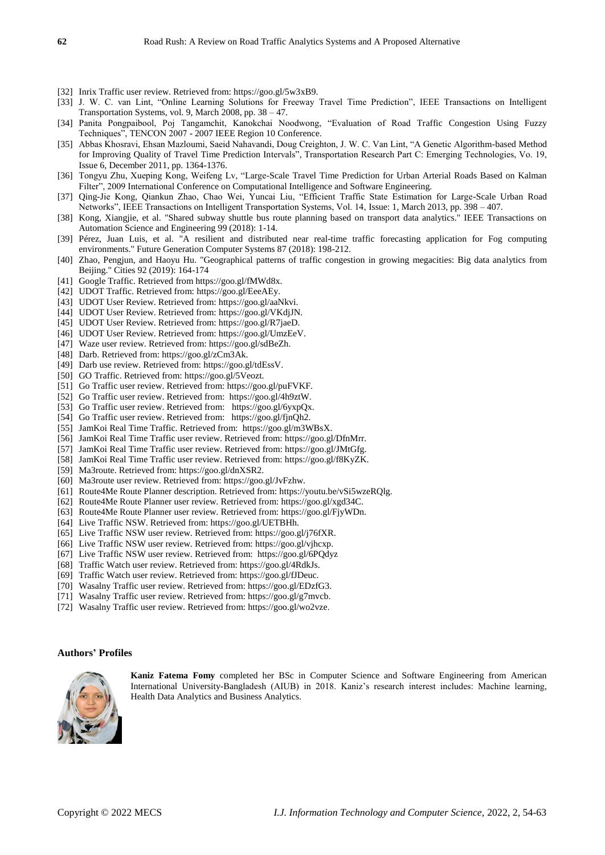- [32] Inrix Traffic user review. Retrieved from: https://goo.gl/5w3xB9.
- [33] J. W. C. van Lint, "Online Learning Solutions for Freeway Travel Time Prediction", IEEE Transactions on Intelligent Transportation Systems, vol. 9, March 2008, pp. 38 – 47.
- [34] Panita Pongpaibool, Poj Tangamchit, Kanokchai Noodwong, "Evaluation of Road Traffic Congestion Using Fuzzy Techniques", TENCON 2007 - 2007 IEEE Region 10 Conference.
- [35] Abbas Khosravi, Ehsan Mazloumi, Saeid Nahavandi, Doug Creighton, J. W. C. Van Lint, "A Genetic Algorithm-based Method for Improving Quality of Travel Time Prediction Intervals", Transportation Research Part C: Emerging Technologies, Vo. 19, Issue 6, December 2011, pp. 1364-1376.
- [36] Tongyu Zhu, Xueping Kong, Weifeng Lv, "Large-Scale Travel Time Prediction for Urban Arterial Roads Based on Kalman Filter", 2009 International Conference on Computational Intelligence and Software Engineering.
- [37] Qing-Jie Kong, Qiankun Zhao, Chao Wei, Yuncai Liu, "Efficient Traffic State Estimation for Large-Scale Urban Road Networks", IEEE Transactions on Intelligent Transportation Systems, Vol. 14, Issue: 1, March 2013, pp. 398 – 407.
- [38] Kong, Xiangjie, et al. "Shared subway shuttle bus route planning based on transport data analytics." IEEE Transactions on Automation Science and Engineering 99 (2018): 1-14.
- [39] Pérez, Juan Luis, et al. "A resilient and distributed near real-time traffic forecasting application for Fog computing environments." Future Generation Computer Systems 87 (2018): 198-212.
- [40] Zhao, Pengjun, and Haoyu Hu. "Geographical patterns of traffic congestion in growing megacities: Big data analytics from Beijing." Cities 92 (2019): 164-174
- [41] Google Traffic. Retrieved from https://goo.gl/fMWd8x.
- [42] UDOT Traffic. Retrieved from: https://goo.gl/EeeAEy.
- [43] UDOT User Review. Retrieved from: https://goo.gl/aaNkvi.
- [44] UDOT User Review. Retrieved from: https://goo.gl/VKdjJN.
- [45] UDOT User Review. Retrieved from: https://goo.gl/R7jaeD.
- [46] UDOT User Review. Retrieved from: https://goo.gl/UmzEeV.
- [47] Waze user review. Retrieved from: https://goo.gl/sdBeZh.
- [48] Darb. Retrieved from: https://goo.gl/zCm3Ak.
- [49] Darb use review. Retrieved from: https://goo.gl/tdEssV.
- [50] GO Traffic. Retrieved from: https://goo.gl/5Veozt.
- [51] Go Traffic user review. Retrieved from: https://goo.gl/puFVKF.
- [52] Go Traffic user review. Retrieved from: https://goo.gl/4h9ztW.
- [53] Go Traffic user review. Retrieved from: https://goo.gl/6yxpQx.
- [54] Go Traffic user review. Retrieved from: https://goo.gl/fjnQh2.
- [55] JamKoi Real Time Traffic. Retrieved from: https://goo.gl/m3WBsX.
- [56] JamKoi Real Time Traffic user review. Retrieved from: https://goo.gl/DfnMrr.
- [57] JamKoi Real Time Traffic user review. Retrieved from: https://goo.gl/JMtGfg. [58] JamKoi Real Time Traffic user review. Retrieved from: https://goo.gl/f8KyZK.
- 
- [59] Ma3route. Retrieved from: https://goo.gl/dnXSR2.
- [60] Ma3route user review. Retrieved from: https://goo.gl/JvFzhw.
- [61] Route4Me Route Planner description. Retrieved from: https://youtu.be/vSi5wzeRQlg.
- [62] Route4Me Route Planner user review. Retrieved from: https://goo.gl/xgd34C.
- [63] Route4Me Route Planner user review. Retrieved from: https://goo.gl/FjyWDn.
- [64] Live Traffic NSW. Retrieved from: https://goo.gl/UETBHh.
- [65] Live Traffic NSW user review. Retrieved from: https://goo.gl/j76fXR.
- [66] Live Traffic NSW user review. Retrieved from: https://goo.gl/vjhcxp.
- [67] Live Traffic NSW user review. Retrieved from: https://goo.gl/6PQdyz
- [68] Traffic Watch user review. Retrieved from: https://goo.gl/4RdkJs.
- [69] Traffic Watch user review. Retrieved from: https://goo.gl/fJDeuc.
- [70] Wasalny Traffic user review. Retrieved from: https://goo.gl/EDzfG3.
- [71] Wasalny Traffic user review. Retrieved from: https://goo.gl/g7mvcb.
- [72] Wasalny Traffic user review. Retrieved from: https://goo.gl/wo2vze.

#### **Authors' Profiles**



**Kaniz Fatema Fomy** completed her BSc in Computer Science and Software Engineering from American International University-Bangladesh (AIUB) in 2018. Kaniz's research interest includes: Machine learning, Health Data Analytics and Business Analytics.